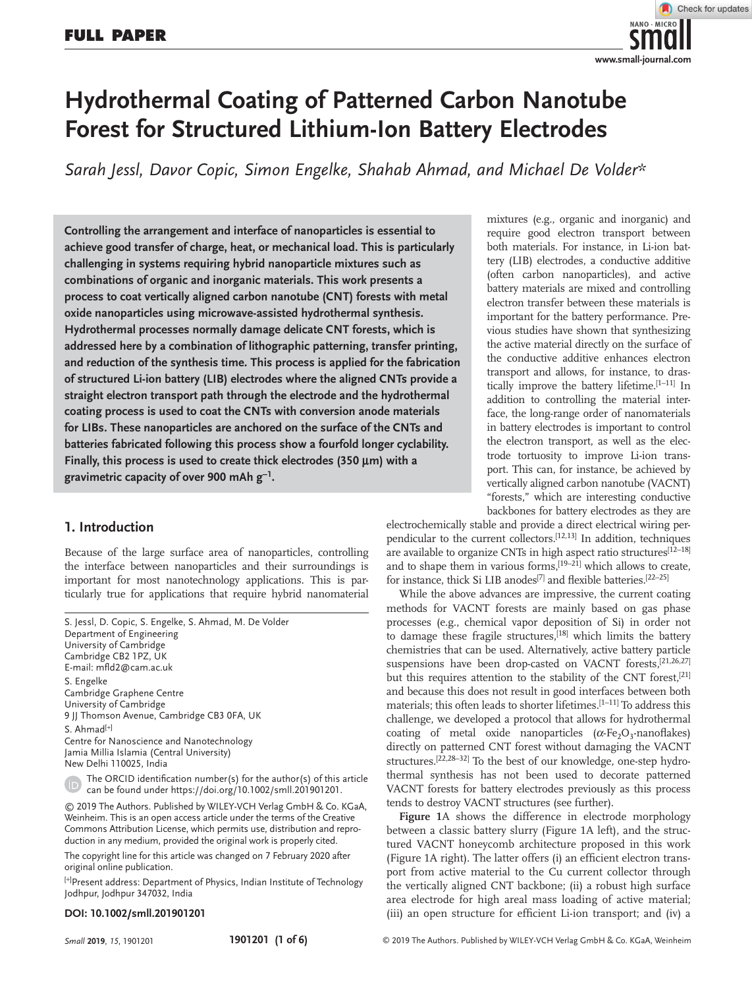# **Hydrothermal Coating of Patterned Carbon Nanotube Forest for Structured Lithium-Ion Battery Electrodes**

*Sarah Jessl, Davor Copic, Simon Engelke, Shahab Ahmad, and Michael De Volder\**

**Controlling the arrangement and interface of nanoparticles is essential to achieve good transfer of charge, heat, or mechanical load. This is particularly challenging in systems requiring hybrid nanoparticle mixtures such as combinations of organic and inorganic materials. This work presents a process to coat vertically aligned carbon nanotube (CNT) forests with metal oxide nanoparticles using microwave-assisted hydrothermal synthesis. Hydrothermal processes normally damage delicate CNT forests, which is addressed here by a combination of lithographic patterning, transfer printing, and reduction of the synthesis time. This process is applied for the fabrication of structured Li-ion battery (LIB) electrodes where the aligned CNTs provide a straight electron transport path through the electrode and the hydrothermal coating process is used to coat the CNTs with conversion anode materials for LIBs. These nanoparticles are anchored on the surface of the CNTs and batteries fabricated following this process show a fourfold longer cyclability. Finally, this process is used to create thick electrodes (350 µm) with a gravimetric capacity of over 900 mAh g<sup>−</sup><sup>1</sup> .**

#### **1. Introduction**

Because of the large surface area of nanoparticles, controlling the interface between nanoparticles and their surroundings is important for most nanotechnology applications. This is particularly true for applications that require hybrid nanomaterial

S. Jessl, D. Copic, S. Engelke, S. Ahmad, M. De Volder Department of Engineering University of Cambridge Cambridge CB2 1PZ, UK E-mail: mfld2@cam.ac.uk S. Engelke Cambridge Graphene Centre University of Cambridge 9 JJ Thomson Avenue, Cambridge CB3 0FA, UK S. Ahmad[+] Centre for Nanoscience and Nanotechnology Jamia Millia Islamia (Central University) New Delhi 110025, India

The ORCID identification number(s) for the author(s) of this article can be found under https://doi.org/10.1002/smll.201901201.

© 2019 The Authors. Published by WILEY-VCH Verlag GmbH & Co. KGaA, Weinheim. This is an open access article under the terms of the Creative Commons Attribution License, which permits use, distribution and reproduction in any medium, provided the original work is properly cited.

The copyright line for this article was changed on 7 February 2020 after original online publication.

[+]Present address: Department of Physics, Indian Institute of Technology Jodhpur, Jodhpur 347032, India

#### **DOI: 10.1002/smll.201901201**

*Small* **2019**, *15*, 1901201

mixtures (e.g., organic and inorganic) and require good electron transport between both materials. For instance, in Li-ion battery (LIB) electrodes, a conductive additive (often carbon nanoparticles), and active battery materials are mixed and controlling electron transfer between these materials is important for the battery performance. Previous studies have shown that synthesizing the active material directly on the surface of the conductive additive enhances electron transport and allows, for instance, to drastically improve the battery lifetime.<sup>[1-11]</sup> In addition to controlling the material interface, the long-range order of nanomaterials in battery electrodes is important to control the electron transport, as well as the electrode tortuosity to improve Li-ion transport. This can, for instance, be achieved by vertically aligned carbon nanotube (VACNT) "forests," which are interesting conductive backbones for battery electrodes as they are

electrochemically stable and provide a direct electrical wiring perpendicular to the current collectors.[12,13] In addition, techniques are available to organize CNTs in high aspect ratio structures<sup>[12-18]</sup> and to shape them in various forms, $\left[19-21\right]$  which allows to create, for instance, thick Si LIB anodes<sup>[7]</sup> and flexible batteries.<sup>[22–25]</sup>

While the above advances are impressive, the current coating methods for VACNT forests are mainly based on gas phase processes (e.g., chemical vapor deposition of Si) in order not to damage these fragile structures,<sup>[18]</sup> which limits the battery chemistries that can be used. Alternatively, active battery particle suspensions have been drop-casted on VACNT forests,<sup>[21,26,27]</sup> but this requires attention to the stability of the CNT forest,<sup>[21]</sup> and because this does not result in good interfaces between both materials; this often leads to shorter lifetimes.[1–11] To address this challenge, we developed a protocol that allows for hydrothermal coating of metal oxide nanoparticles  $(\alpha$ -Fe<sub>2</sub>O<sub>3</sub>-nanoflakes) directly on patterned CNT forest without damaging the VACNT structures.[22,28–32] To the best of our knowledge, one-step hydrothermal synthesis has not been used to decorate patterned VACNT forests for battery electrodes previously as this process tends to destroy VACNT structures (see further).

**Figure 1**A shows the difference in electrode morphology between a classic battery slurry (Figure 1A left), and the structured VACNT honeycomb architecture proposed in this work (Figure 1A right). The latter offers (i) an efficient electron transport from active material to the Cu current collector through the vertically aligned CNT backbone; (ii) a robust high surface area electrode for high areal mass loading of active material; (iii) an open structure for efficient Li-ion transport; and (iv) a

**1901201 (1 of 6)** © 2019 The Authors. Published by WILEY-VCH Verlag GmbH & Co. KGaA, Weinheim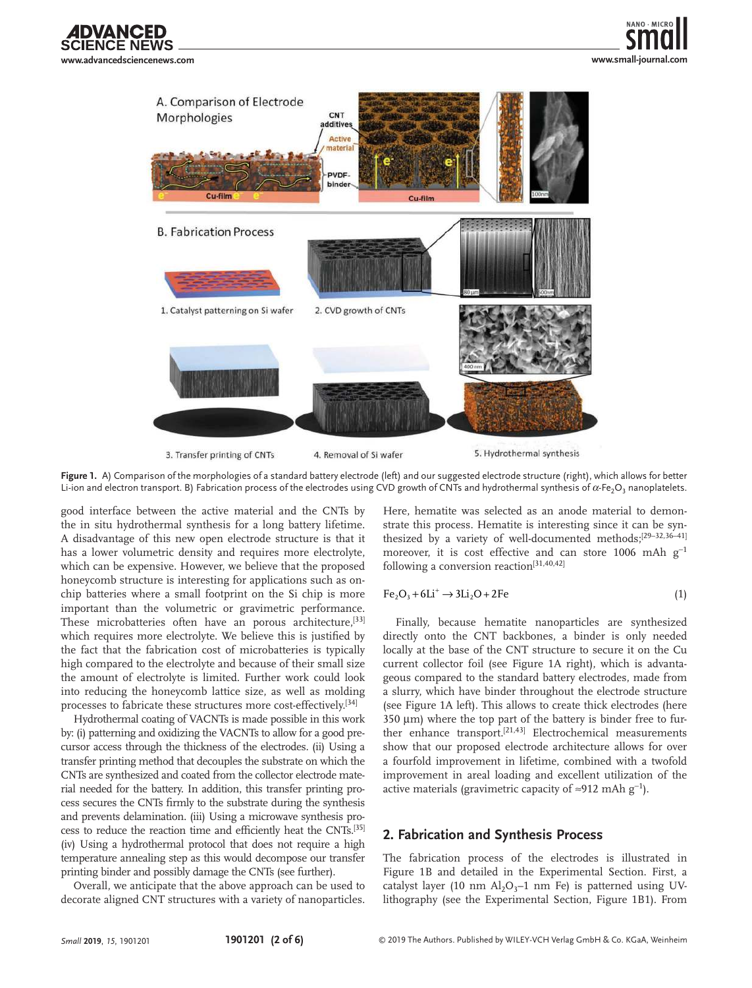



**Figure 1.** A) Comparison of the morphologies of a standard battery electrode (left) and our suggested electrode structure (right), which allows for better Li-ion and electron transport. B) Fabrication process of the electrodes using CVD growth of CNTs and hydrothermal synthesis of  $\alpha$ -Fe $_2$ O3 nanoplatelets.

good interface between the active material and the CNTs by the in situ hydrothermal synthesis for a long battery lifetime. A disadvantage of this new open electrode structure is that it has a lower volumetric density and requires more electrolyte, which can be expensive. However, we believe that the proposed honeycomb structure is interesting for applications such as onchip batteries where a small footprint on the Si chip is more important than the volumetric or gravimetric performance. These microbatteries often have an porous architecture,<sup>[33]</sup> which requires more electrolyte. We believe this is justified by the fact that the fabrication cost of microbatteries is typically high compared to the electrolyte and because of their small size the amount of electrolyte is limited. Further work could look into reducing the honeycomb lattice size, as well as molding processes to fabricate these structures more cost-effectively.[34]

Hydrothermal coating of VACNTs is made possible in this work by: (i) patterning and oxidizing the VACNTs to allow for a good precursor access through the thickness of the electrodes. (ii) Using a transfer printing method that decouples the substrate on which the CNTs are synthesized and coated from the collector electrode material needed for the battery. In addition, this transfer printing process secures the CNTs firmly to the substrate during the synthesis and prevents delamination. (iii) Using a microwave synthesis process to reduce the reaction time and efficiently heat the CNTs.[35] (iv) Using a hydrothermal protocol that does not require a high temperature annealing step as this would decompose our transfer printing binder and possibly damage the CNTs (see further).

Overall, we anticipate that the above approach can be used to decorate aligned CNT structures with a variety of nanoparticles.

Here, hematite was selected as an anode material to demonstrate this process. Hematite is interesting since it can be synthesized by a variety of well-documented methods;<sup>[29-32,36-41]</sup> moreover, it is cost effective and can store 1006 mAh g−<sup>1</sup> following a conversion reaction<sup>[31,40,42]</sup>

$$
Fe2O3 + 6Li+ \rightarrow 3Li2O + 2Fe
$$
 (1)

Finally, because hematite nanoparticles are synthesized directly onto the CNT backbones, a binder is only needed locally at the base of the CNT structure to secure it on the Cu current collector foil (see Figure 1A right), which is advantageous compared to the standard battery electrodes, made from a slurry, which have binder throughout the electrode structure (see Figure 1A left). This allows to create thick electrodes (here  $350 \mu m$ ) where the top part of the battery is binder free to further enhance transport.<sup>[21,43]</sup> Electrochemical measurements show that our proposed electrode architecture allows for over a fourfold improvement in lifetime, combined with a twofold improvement in areal loading and excellent utilization of the active materials (gravimetric capacity of ≈912 mAh  $g^{-1}$ ).

#### **2. Fabrication and Synthesis Process**

The fabrication process of the electrodes is illustrated in Figure 1B and detailed in the Experimental Section. First, a catalyst layer (10 nm  $Al_2O_3-1$  nm Fe) is patterned using UVlithography (see the Experimental Section, Figure 1B1). From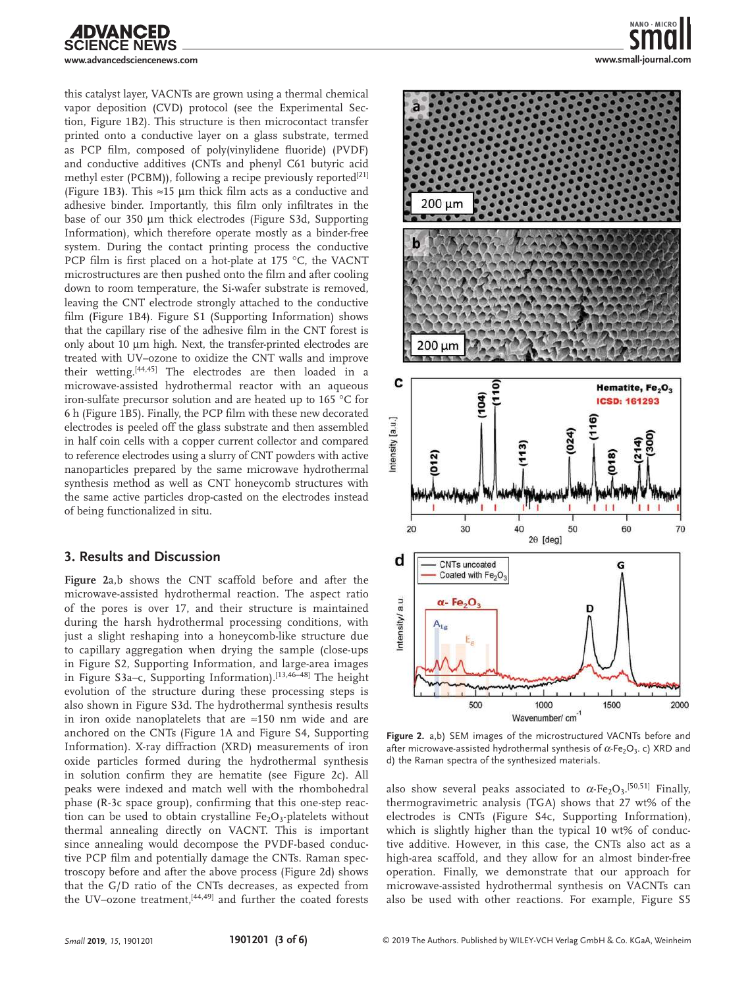

this catalyst layer, VACNTs are grown using a thermal chemical vapor deposition (CVD) protocol (see the Experimental Section, Figure 1B2). This structure is then microcontact transfer printed onto a conductive layer on a glass substrate, termed as PCP film, composed of poly(vinylidene fluoride) (PVDF) and conductive additives (CNTs and phenyl C61 butyric acid methyl ester (PCBM)), following a recipe previously reported<sup>[21]</sup> (Figure 1B3). This  $\approx$ 15 µm thick film acts as a conductive and adhesive binder. Importantly, this film only infiltrates in the base of our 350 µm thick electrodes (Figure S3d, Supporting Information), which therefore operate mostly as a binder-free system. During the contact printing process the conductive PCP film is first placed on a hot-plate at 175 °C, the VACNT microstructures are then pushed onto the film and after cooling down to room temperature, the Si-wafer substrate is removed, leaving the CNT electrode strongly attached to the conductive film (Figure 1B4). Figure S1 (Supporting Information) shows that the capillary rise of the adhesive film in the CNT forest is only about 10 µm high. Next, the transfer-printed electrodes are treated with UV–ozone to oxidize the CNT walls and improve their wetting.[44,45] The electrodes are then loaded in a micro wave-assisted hydrothermal reactor with an aqueous iron-sulfate precursor solution and are heated up to 165 °C for 6 h (Figure 1B5). Finally, the PCP film with these new decorated electrodes is peeled off the glass substrate and then assembled in half coin cells with a copper current colle*c*tor and compared to reference electrodes using a slurry of CNT powders with active nanoparticles prepared by the same microwave hydrothermal synthesis method as well as CNT honeycomb structures with the same active particles drop-casted on the electrodes instead of being functionalized in situ.

#### **3. Results and Discussion**

**Figure 2**a,b shows the CNT scaffold before and after the microwave-assisted hydrothermal reaction. The aspect ratio of the pores is over 17, and their structure is maintained during the harsh hydrothermal processing conditions, with just a slight reshaping into a honeycomb-like structure due to capillary aggregation when drying the sample (close-ups in Figure S2, Supporting Information, and large-area images in Figure S3a–c, Supporting Information).[13,46–48] The height evolution of the structure during these processing steps is also shown in Figure S3d. The hydrothermal synthesis results in iron oxide nanoplatelets that are ≈150 nm wide and are anchored on the CNTs (Figure 1A and Figure S4, Supporting Information). X-ray diffraction (XRD) measurements of iron oxide particles formed during the hydrothermal synthesis in solution confirm they are hematite (see Figure 2c). All peaks were indexed and match well with the rhombohedral phase (R-3c space group), confirming that this one-step reaction can be used to obtain crystalline  $Fe<sub>2</sub>O<sub>3</sub>$ -platelets without thermal annealing directly on VACNT. This is important since annealing would decompose the PVDF-based conductive PCP film and potentially damage the CNTs. Raman spectroscopy before and after the above process (Figure 2d) shows that the G/D ratio of the CNTs decreases, as expected from the UV–ozone treatment,<sup>[44,49]</sup> and further the coated forests





**Figure 2.** a,b) SEM images of the microstructured VACNTs before and after microwave-assisted hydrothermal synthesis of  $\alpha$ -Fe<sub>2</sub>O<sub>3</sub>. c) XRD and d) the Raman spectra of the synthesized materials.

also show several peaks associated to  $\alpha$ -Fe<sub>2</sub>O<sub>3</sub>.<sup>[50,51]</sup> Finally, thermogravimetric analysis (TGA) shows that 27 wt% of the electrodes is CNTs (Figure S4c, Supporting Information), which is slightly higher than the typical 10 wt% of conductive additive. However, in this case, the CNTs also act as a high-area scaffold, and they allow for an almost binder-free operation. Finally, we demonstrate that our approach for microwave-assisted hydrothermal synthesis on VACNTs can also be used with other reactions. For example, Figure S5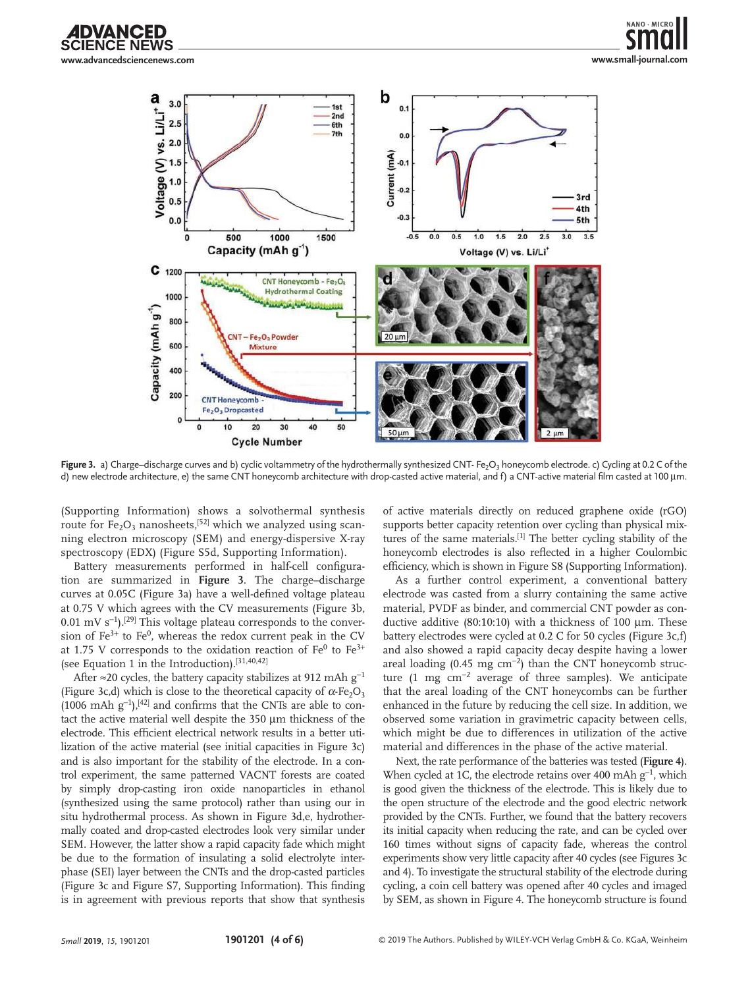

NANO, MICRO



**Figure 3.** a) Charge–discharge curves and b) cyclic voltammetry of the hydrothermally synthesized CNT- Fe<sub>2</sub>O<sub>3</sub> honeycomb electrode. c) Cycling at 0.2 C of the d) new electrode architecture, e) the same CNT honeycomb architecture with drop-casted active material, and f) a CNT-active material film casted at 100 µm.

(Supporting Information) shows a solvothermal synthesis route for  $\text{Fe}_2\text{O}_3$  nanosheets, $^{[52]}$  which we analyzed using scanning electron microscopy (SEM) and energy-dispersive X-ray spectroscopy (EDX) (Figure S5d, Supporting Information).

Battery measurements performed in half-cell configuration are summarized in **Figure 3**. The charge–discharge curves at 0.05C (Figure 3a) have a well-defined voltage plateau at 0.75 V which agrees with the CV measurements (Figure 3b, 0.01 mV s<sup>-1</sup>).<sup>[29]</sup> This voltage plateau corresponds to the conversion of Fe<sup>3+</sup> to Fe<sup>0</sup>, whereas the redox current peak in the CV at 1.75 V corresponds to the oxidation reaction of Fe $^0$  to Fe $^{3+}$ (see Equation 1 in the Introduction).[31,40,42]

After ≈20 cycles, the battery capacity stabilizes at 912 mAh  $g^{-1}$ (Figure 3c,d) which is close to the theoretical capacity of  $\alpha$ -Fe<sub>2</sub>O<sub>3</sub> (1006 mAh  $g^{-1}$ ),<sup>[42]</sup> and confirms that the CNTs are able to contact the active material well despite the 350 µm thickness of the electrode. This efficient electrical network results in a better utilization of the active material (see initial capacities in Figure 3c) and is also important for the stability of the electrode. In a control experiment, the same patterned VACNT forests are coated by simply drop-casting iron oxide nanoparticles in ethanol (synthesized using the same protocol) rather than using our in situ hydrothermal process. As shown in Figure 3d,e, hydrothermally coated and drop-casted electrodes look very similar under SEM. However, the latter show a rapid capacity fade which might be due to the formation of insulating a solid electrolyte interphase (SEI) layer between the CNTs and the drop-casted particles (Figure 3c and Figure S7, Supporting Information). This finding is in agreement with previous reports that show that synthesis

of active materials directly on reduced graphene oxide (rGO) supports better capacity retention over cycling than physical mixtures of the same materials.[1] The better cycling stability of the honeycomb electrodes is also reflected in a higher Coulombic efficiency, which is shown in Figure S8 (Supporting Information).

As a further control experiment, a conventional battery electrode was casted from a slurry containing the same active material, PVDF as binder, and commercial CNT powder as conductive additive (80:10:10) with a thickness of 100 µm. These battery electrodes were cycled at 0.2 C for 50 cycles (Figure 3c,f) and also showed a rapid capacity decay despite having a lower areal loading (0.45 mg cm<sup>-2</sup>) than the CNT honeycomb structure (1 mg cm−<sup>2</sup> average of three samples). We anticipate that the areal loading of the CNT honeycombs can be further enhanced in the future by reducing the cell size. In addition, we observed some variation in gravimetric capacity between cells, which might be due to differences in utilization of the active material and differences in the phase of the active material.

Next, the rate performance of the batteries was tested (**Figure 4**). When cycled at 1C, the electrode retains over 400 mAh  $g^{-1}$ , which is good given the thickness of the electrode. This is likely due to the open structure of the electrode and the good electric network provided by the CNTs. Further, we found that the battery recovers its initial capacity when reducing the rate, and can be cycled over 160 times without signs of capacity fade, whereas the control experiments show very little capacity after 40 cycles (see Figures 3c and 4). To investigate the structural stability of the electrode during cycling, a coin cell battery was opened after 40 cycles and imaged by SEM, as shown in Figure 4. The honeycomb structure is found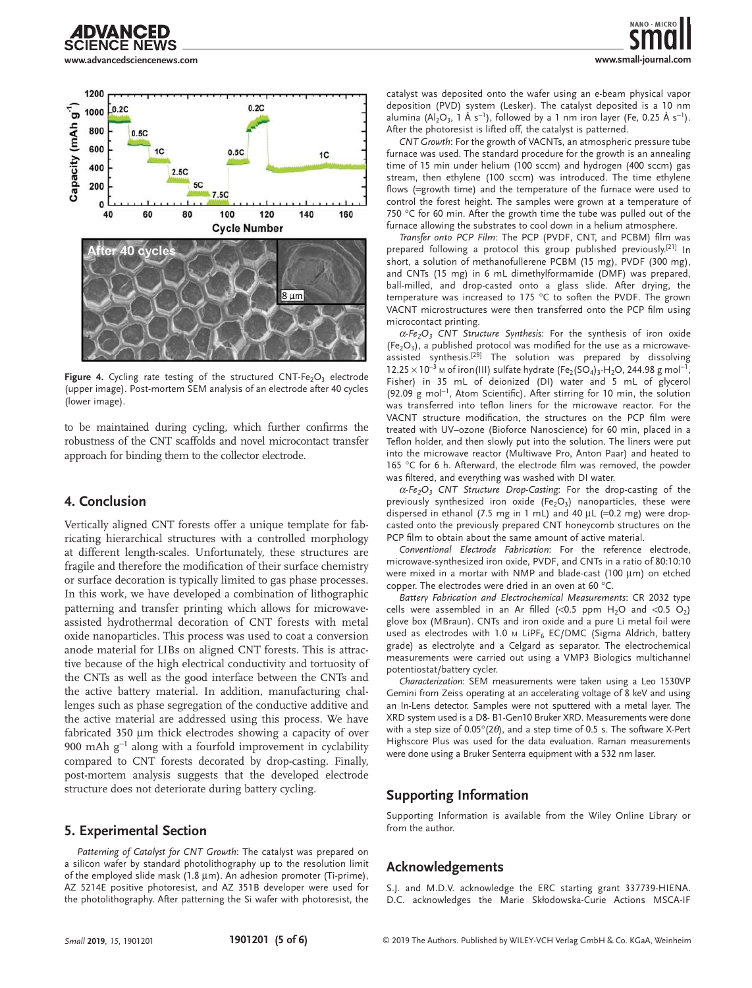



**Figure 4.** Cycling rate testing of the structured  $CNT\text{-Fe}_2\text{O}_3$  electrode (upper image). Post-mortem SEM analysis of an electrode after 40 cycles (lower image).

to be maintained during cycling, which further confirms the robustness of the CNT scaffolds and novel microcontact transfer approach for binding them to the collector electrode.

#### **4. Conclusion**

Vertically aligned CNT forests offer a unique template for fabricating hierarchical structures with a controlled morphology at different length-scales. Unfortunately, these structures are fragile and therefore the modification of their surface chemistry or surface decoration is typically limited to gas phase processes. In this work, we have developed a combination of lithographic patterning and transfer printing which allows for microwaveassisted hydrothermal decoration of CNT forests with metal oxide nanoparticles. This process was used to coat a conversion anode material for LIBs on aligned CNT forests. This is attractive because of the high electrical conductivity and tortuosity of the CNTs as well as the good interface between the CNTs and the active battery material. In addition, manufacturing challenges such as phase segregation of the conductive additive and the active material are addressed using this process. We have fabricated 350 µm thick electrodes showing a capacity of over 900 mAh g<sup>-1</sup> along with a fourfold improvement in cyclability compared to CNT forests decorated by drop-casting. Finally, post-mortem analysis suggests that the developed electrode structure does not deteriorate during battery cycling.

### **5. Experimental Section**

*Patterning of Catalyst for CNT Growth*: The catalyst was prepared on a silicon wafer by standard photolithography up to the resolution limit of the employed slide mask (1.8 µm). An adhesion promoter (Ti-prime), AZ 5214E positive photoresist, and AZ 351B developer were used for the photolithography. After patterning the Si wafer with photoresist, the

catalyst was deposited onto the wafer using an e-beam physical vapor deposition (PVD) system (Lesker). The catalyst deposited is a 10 nm alumina (Al<sub>2</sub>O<sub>3</sub>, 1 Å s<sup>-1</sup>), followed by a 1 nm iron layer (Fe, 0.25 Å s<sup>-1</sup>). After the photoresist is lifted off, the catalyst is patterned.

*CNT Growth*: For the growth of VACNTs, an atmospheric pressure tube furnace was used. The standard procedure for the growth is an annealing time of 15 min under helium (100 sccm) and hydrogen (400 sccm) gas stream, then ethylene (100 sccm) was introduced. The time ethylene flows (=growth time) and the temperature of the furnace were used to control the forest height. The samples were grown at a temperature of 750 °C for 60 min. After the growth time the tube was pulled out of the furnace allowing the substrates to cool down in a helium atmosphere.

*Transfer onto PCP Film*: The PCP (PVDF, CNT, and PCBM) film was prepared following a protocol this group published previously.[21] In short, a solution of methanofullerene PCBM (15 mg), PVDF (300 mg), and CNTs (15 mg) in 6 mL dimethylformamide (DMF) was prepared, ball-milled, and drop-casted onto a glass slide. After drying, the temperature was increased to 175 °C to soften the PVDF. The grown VACNT microstructures were then transferred onto the PCP film using microcontact printing.

<sup>α</sup>*-Fe2O<sup>3</sup> CNT Structure Synthesis*: For the synthesis of iron oxide (Fe<sub>2</sub>O<sub>3</sub>), a published protocol was modified for the use as a microwaveassisted synthesis.<sup>[29]</sup> The solution was prepared by dissolving 12.25 × 10<sup>-3</sup> M of iron(III) sulfate hydrate (Fe<sub>2</sub>(SO<sub>4</sub>)<sub>3</sub>⋅H<sub>2</sub>O, 244.98 g mol<sup>-1</sup> , Fisher) in 35 mL of deionized (DI) water and 5 mL of glycerol (92.09 g mol−<sup>1</sup> , Atom Scientific). After stirring for 10 min, the solution was transferred into teflon liners for the microwave reactor. For the VACNT structure modification, the structures on the PCP film were treated with UV–ozone (Bioforce Nanoscience) for 60 min, placed in a Teflon holder, and then slowly put into the solution. The liners were put into the microwave reactor (Multiwave Pro, Anton Paar) and heated to 165 °C for 6 h. Afterward, the electrode film was removed, the powder was filtered, and everything was washed with DI water.

<sup>α</sup>*-Fe2O<sup>3</sup> CNT Structure Drop-Casting*: For the drop-casting of the previously synthesized iron oxide (Fe<sub>2</sub>O<sub>3</sub>) nanoparticles, these were dispersed in ethanol (7.5 mg in 1 mL) and 40  $\mu$ L (=0.2 mg) were dropcasted onto the previously prepared CNT honeycomb structures on the PCP film to obtain about the same amount of active material.

*Conventional Electrode Fabrication*: For the reference electrode, microwave-synthesized iron oxide, PVDF, and CNTs in a ratio of 80:10:10 were mixed in a mortar with NMP and blade-cast (100 µm) on etched copper. The electrodes were dried in an oven at 60 °C.

*Battery Fabrication and Electrochemical Measurements*: CR 2032 type cells were assembled in an Ar filled (<0.5 ppm  $H_2O$  and <0.5  $O_2$ ) glove box (MBraun). CNTs and iron oxide and a pure Li metal foil were used as electrodes with 1.0  $\text{M}$  LiPF<sub>6</sub> EC/DMC (Sigma Aldrich, battery grade) as electrolyte and a Celgard as separator. The electrochemical measurements were carried out using a VMP3 Biologics multichannel potentiostat/battery cycler.

*Characterization*: SEM measurements were taken using a Leo 1530VP Gemini from Zeiss operating at an accelerating voltage of 8 keV and using an In-Lens detector. Samples were not sputtered with a metal layer. The XRD system used is a D8- B1-Gen10 Bruker XRD. Measurements were done with a step size of 0.05 $^{\circ}$ (2 $\theta$ ), and a step time of 0.5 s. The software X-Pert Highscore Plus was used for the data evaluation. Raman measurements were done using a Bruker Senterra equipment with a 532 nm laser.

## **Supporting Information**

Supporting Information is available from the Wiley Online Library or from the author.

#### **Acknowledgements**

S.J. and M.D.V. acknowledge the ERC starting grant 337739-HIENA. D.C. acknowledges the Marie Skłodowska-Curie Actions MSCA-IF